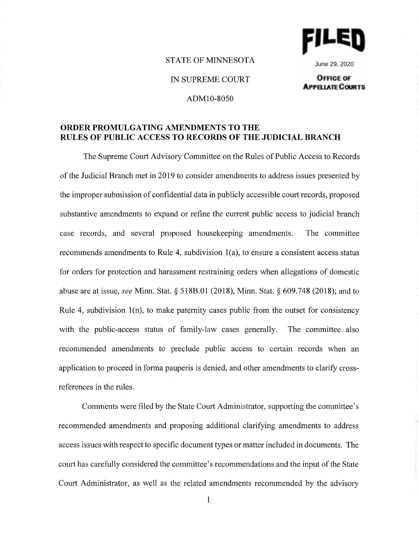

June 29, 2020**OFFICE OF** 

**APPELIATE COURTS** 

# STATE OF MINNESOTA

IN SUPREME COURT

# ADMl0-8050

# **ORDER PROMULGATING AMENDMENTS TO THE RULES OF PUBLIC ACCESS TO RECORDS OF THE JUDICIAL BRANCH**

The Supreme Court Advisory Committee on the Rules of Public Access to Records of the Judicial Branch met in 2019 to consider amendments to address issues presented by the improper submission of confidential data in publicly accessible court records, proposed substantive amendments to expand or refine the current public access to judicial branch case records, and several proposed housekeeping amendments. The committee recommends amendments to Rule 4, subdivision l(a), to ensure a consistent access status for orders for protection and harassment restraining orders when allegations of domestic abuse are at issue, *see* Minn. Stat.§ 518B.01 (2018), Minn. Stat.§ 609.748 (2018); and to Rule 4, subdivision l(n), to make paternity cases public from the outset for consistency with the public-access status of family-law cases generally. The committee also recommended amendments to preclude public access to certain records when an application to proceed in forma pauperis is denied, and other amendments to clarify crossreferences in the rules.

Comments were filed by the State Court Administrator, supporting the committee's recommended amendments and proposing additional clarifying amendments to address access issues with respect to specific document types or matter included in documents. The court has carefully considered the committee's recommendations and the input of the State Court Administrator, as well as the related amendments recommended by the advisory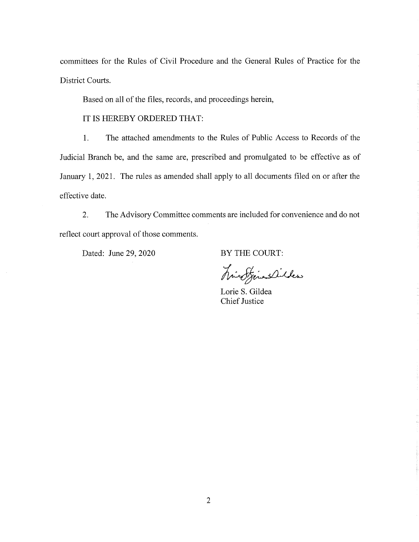committees for the Rules of Civil Procedure and the General Rules of Practice for the District Courts.

Based on all of the files, records, and proceedings herein,

IT IS HEREBY ORDERED THAT:

1. The attached amendments to the Rules of Public Access to Records of the Judicial Branch be, and the same are, prescribed and promulgated to be effective as of January 1, 2021. The rules as amended shall apply to all documents filed on or after the effective date.

2. The Advisory Committee comments are included for convenience and do not reflect court approval of those comments.

Dated: June 29, 2020

BY THE COURT:

hinofinaliber

Lorie S. Gildea Chief Justice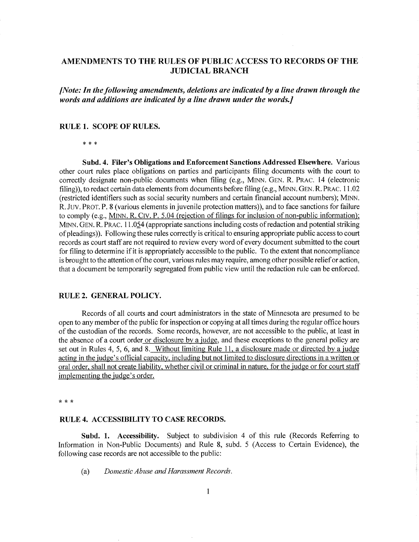# AMENDMENTS TO THE RULES OF PUBLIC ACCESS TO RECORDS OF THE JUDICIAL BRANCH

*[Note: In the following amendments, deletions are indicated by a line drawn through the words and additions are indicated by a line drawn under the words.]* 

## **RULE 1. SCOPE OF RULES.**

#### \* \* \*

**Subd. 4. Filer's Obligations and Enforcement Sanctions Addressed Elsewhere.** Various other court rules place obligations on parties and participants filing documents with the court to correctly designate non-public documents when filing (e.g., MINN. GEN. R. PRAC. 14 (electronic filing)), to redact certain data elements from documents before filing (e.g., MINN. GEN. R. PRAC. 11.02 (restricted identifiers such as social security numbers and certain financial account numbers); MINN. R. Juv. PROT. P. 8 (various elements in juvenile protection matters)), and to face sanctions for failure to comply (e.g., MINN. R. CIV. P. 5.04 (rejection of filings for inclusion of non-public information); MINN. GEN. R. PRAC. 11.054 (appropriate sanctions including costs of redaction and potential striking of pleadings)). Following these rules correctly is critical to ensuring appropriate public access to court records as court staff are not required to review every word of every document submitted to the court for filing to determine if it is appropriately accessible to the public. To the extent that noncompliance is brought to the attention of the court, various rules may require, among other possible relief or action, that a document be temporarily segregated from public view until the redaction rule can be enforced.

### **RULE 2. GENERAL POLICY.**

Records of all courts and court administrators in the state of Minnesota are presumed to be open to any member of the public for inspection or copying at all times during the regular office hours of the custodian of the records. Some records, however, are not accessible to the public, at least in the absence of a court order or disclosure by a judge, and these exceptions to the general policy are set out in Rules 4, 5, 6, and 8. Without limiting Rule 11, a disclosure made or directed by a judge acting in the judge's official capacity, including but not limited to disclosure directions in a written or oral order, shall not create liability, whether civil or criminal in nature, for the judge or for court staff implementing the judge's order.

\*\*\*

## **RULE 4. ACCESSIBILITY TO CASE RECORDS.**

**Subd. 1. Accessibility.** Subject to subdivision 4 of this rule (Records Referring to Information in Non-Public Documents) and Rule 8, subd. 5 (Access to Certain Evidence), the following case records are not accessible to the public:

(a) *Domestic Abuse and Harassment Records.*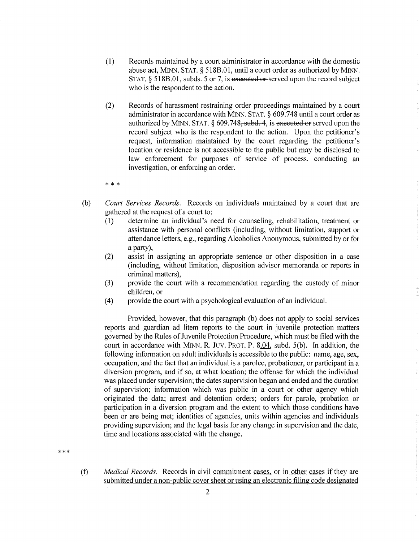- (1) Records maintained by a court administrator in accordance with the domestic abuse act, MINN. STAT.§ 518B.0l, until a court order as authorized by MINN. STAT. § 518B.01, subds. 5 or 7, is executed or served upon the record subject who is the respondent to the action.
- (2) Records of harassment restraining order proceedings maintained by a court administrator in accordance with MINN. STAT.§ 609.748 until a court order as authorized by MINN. STAT.  $\S$  609.748, subd. 4, is executed or served upon the record subject who is the respondent to the action. Upon the petitioner's request, information maintained by the court regarding the petitioner's location or residence is not accessible to the public but may be disclosed to law enforcement for purposes of service of process, conducting an investigation, or enforcing an order.

\* \* \*

- (b) *Court Services Records.* Records on individuals maintained by a court that are gathered at the request of a court to:
	- (I) determine an individual's need for counseling, rehabilitation, treatment or assistance with personal conflicts (including, without limitation, support or attendance letters, e.g., regarding Alcoholics Anonymous, submitted by or for a party),
	- (2) assist in assigning an appropriate sentence or other disposition in a case (including, without limitation, disposition advisor memoranda or reports in criminal matters),
	- (3) provide the court with a recommendation regarding the custody of minor children, or
	- ( 4) provide the court with a psychological evaluation of an individual.

Provided, however, that this paragraph (b) does not apply to social services reports and guardian ad litem reports to the court in juvenile protection matters governed by the Rules of Juvenile Protection Procedure, which must be filed with the court in accordance with MINN. R. Juv. PROT. P. 8.04, subd. 5(b). In addition, the following information on adult individuals is accessible to the public: name, age, sex, occupation, and the fact that an individual is a parolee, probationer, or participant in a diversion program, and if so, at what location; the offense for which the individual was placed under supervision; the dates supervision began and ended and the duration of supervision; information which was public in a court or other agency which originated the data; arrest and detention orders; orders for parole, probation or participation in a diversion program and the extent to which those conditions have been or are being met; identities of agencies, units within agencies and individuals providing supervision; and the legal basis for any change in supervision and the date, time and locations associated with the change.

\*\*\*

(f) *Medical Records.* Records in civil commitment cases, or in other cases if they are submitted under a non-public cover sheet or using an electronic filing code designated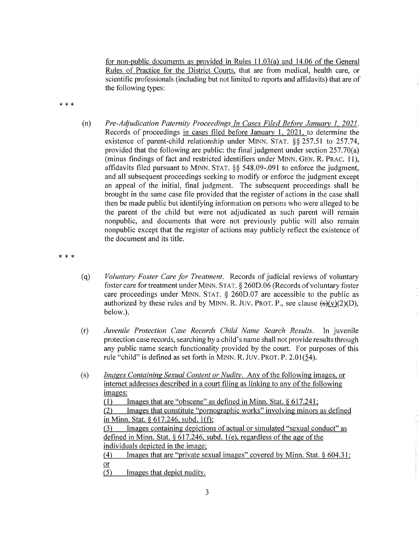for non-public documents as provided in Rules 11.03(a) and 14.06 of the General Rules of Practice for the District Courts, that are from medical, health care, or scientific professionals (including but not limited to reports and affidavits) that are of the following types:

\* \* \*

(n) *Pre-Adjudication Paternity Proceedings In Cases Filed Before January I, 2021.*  Records of proceedings in cases filed before January 1, 2021, to determine the existence of parent-child relationship under MINN. STAT. §§ 257.51 to 257.74, provided that the following are public: the final judgment under section 257.70(a) (minus findings of fact and restricted identifiers under MINN. GEN. **R.** PRAC. 11), affidavits filed pursuant to MINN. STAT. §§ 548.09-.091 to enforce the judgment, and all subsequent proceedings seeking to modify or enforce the judgment except an appeal of the initial, final judgment. The subsequent proceedings shall be brought in the same case file provided that the register of actions in the case shall then be made public but identifying information on persons who were alleged to be the parent of the child but were not adjudicated as such parent will remain nonpublic, and documents that were not previously public will also remain nonpublic except that the register of actions may publicly reflect the existence of the document and its title.

\* \* \*

- (q) *Voluntary Foster Care for Treatment.* Records of judicial reviews of voluntary foster care for treatment under MINN. STAT.§ 260D.06 (Records of voluntary foster care proceedings under MINN. STAT. § 260D.07 are accessible to the public as authorized by these rules and by MINN. R. JUV. PROT. P., see clause  $\left(\frac{1}{5}\right)(v)(2)(D)$ , below.).
- (r) *Juvenile Protection Case Records Child Name Search Results.* In juvenile protection case records, searching by a child's name shall not provide results through any public name search functionality provided by the court. For purposes of this rule "child" is defined as set forth in MINN. R. JUV. PROT. P. 2.01(54).
- (s) *Images Containing Sexual Content or Nudity.* Any of the following images, or internet addresses described in a court filing as linking to any of the following images: (1) Images that are "obscene" as defined in Minn. Stat.  $\S 617.241$ ; (2) Images that constitute "pornographic works" involving minors as defined in Minn. Stat. § 617.246, subd. 1(f); (3) Images containing depictions of actual or simulated "sexual conduct" as defined in Minn. Stat.  $\S 617.246$ , subd. 1(e), regardless of the age of the individuals depicted in the image; ( 4) Images that are "private sexual images" covered by Minn. Stat. § 604.31; or (5) Images that depict nudity.